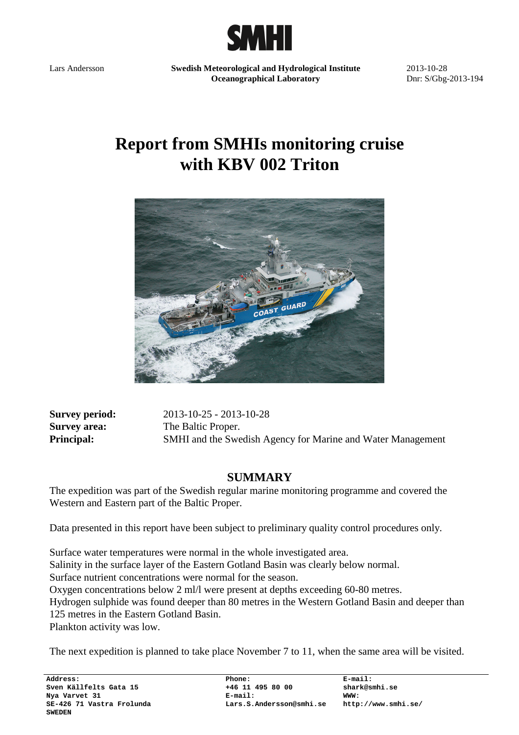

Lars Andersson **Swedish Meteorological and Hydrological Institute Oceanographical Laboratory** 

2013-10-28 Dnr: S/Gbg-2013-194

# **Report from SMHIs monitoring cruise with KBV 002 Triton**



**Survey period:** 2013-10-25 - 2013-10-28 **Survey area:** The Baltic Proper. **Principal:** SMHI and the Swedish Agency for Marine and Water Management

## **SUMMARY**

The expedition was part of the Swedish regular marine monitoring programme and covered the Western and Eastern part of the Baltic Proper.

Data presented in this report have been subject to preliminary quality control procedures only.

Surface water temperatures were normal in the whole investigated area. Salinity in the surface layer of the Eastern Gotland Basin was clearly below normal. Surface nutrient concentrations were normal for the season. Oxygen concentrations below 2 ml/l were present at depths exceeding 60-80 metres. Hydrogen sulphide was found deeper than 80 metres in the Western Gotland Basin and deeper than 125 metres in the Eastern Gotland Basin. Plankton activity was low.

The next expedition is planned to take place November 7 to 11, when the same area will be visited.